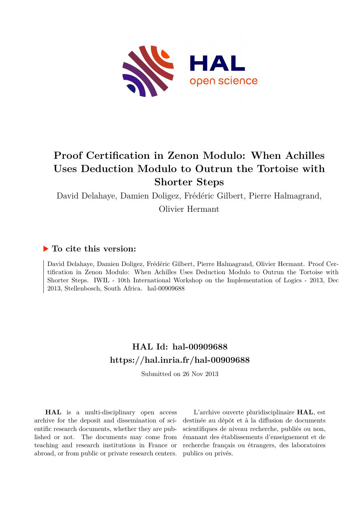

# **Proof Certification in Zenon Modulo: When Achilles Uses Deduction Modulo to Outrun the Tortoise with Shorter Steps**

David Delahaye, Damien Doligez, Frédéric Gilbert, Pierre Halmagrand,

Olivier Hermant

### **To cite this version:**

David Delahaye, Damien Doligez, Frédéric Gilbert, Pierre Halmagrand, Olivier Hermant. Proof Certification in Zenon Modulo: When Achilles Uses Deduction Modulo to Outrun the Tortoise with Shorter Steps. IWIL - 10th International Workshop on the Implementation of Logics - 2013, Dec  $2013$ , Stellenbosch, South Africa. hal-00909688

### **HAL Id: hal-00909688 <https://hal.inria.fr/hal-00909688>**

Submitted on 26 Nov 2013

**HAL** is a multi-disciplinary open access archive for the deposit and dissemination of scientific research documents, whether they are published or not. The documents may come from teaching and research institutions in France or abroad, or from public or private research centers.

L'archive ouverte pluridisciplinaire **HAL**, est destinée au dépôt et à la diffusion de documents scientifiques de niveau recherche, publiés ou non, émanant des établissements d'enseignement et de recherche français ou étrangers, des laboratoires publics ou privés.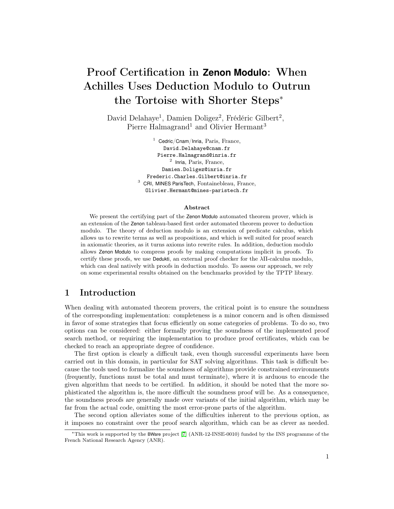## Proof Certification in **Zenon Modulo**: When Achilles Uses Deduction Modulo to Outrun the Tortoise with Shorter Steps<sup>∗</sup>

David Delahaye<sup>1</sup>, Damien Doligez<sup>2</sup>, Frédéric Gilbert<sup>2</sup>, Pierre Halmagrand<sup>1</sup> and Olivier Hermant<sup>3</sup>

> $1$  Cedric/Cnam/Inria, Paris, France, David.Delahaye@cnam.fr Pierre.Halmagrand@inria.fr 2 Inria, Paris, France, Damien.Doligez@inria.fr Frederic.Charles.Gilbert@inria.fr <sup>3</sup> CRI, MINES ParisTech, Fontainebleau, France, Olivier.Hermant@mines-paristech.fr

#### Abstract

We present the certifying part of the Zenon Modulo automated theorem prover, which is an extension of the Zenon tableau-based first order automated theorem prover to deduction modulo. The theory of deduction modulo is an extension of predicate calculus, which allows us to rewrite terms as well as propositions, and which is well suited for proof search in axiomatic theories, as it turns axioms into rewrite rules. In addition, deduction modulo allows Zenon Modulo to compress proofs by making computations implicit in proofs. To certify these proofs, we use Dedukti, an external proof checker for the λΠ-calculus modulo, which can deal natively with proofs in deduction modulo. To assess our approach, we rely on some experimental results obtained on the benchmarks provided by the TPTP library.

#### 1 Introduction

When dealing with automated theorem provers, the critical point is to ensure the soundness of the corresponding implementation: completeness is a minor concern and is often dismissed in favor of some strategies that focus efficiently on some categories of problems. To do so, two options can be considered: either formally proving the soundness of the implemented proof search method, or requiring the implementation to produce proof certificates, which can be checked to reach an appropriate degree of confidence.

The first option is clearly a difficult task, even though successful experiments have been carried out in this domain, in particular for SAT solving algorithms. This task is difficult because the tools used to formalize the soundness of algorithms provide constrained environments (frequently, functions must be total and must terminate), where it is arduous to encode the given algorithm that needs to be certified. In addition, it should be noted that the more sophisticated the algorithm is, the more difficult the soundness proof will be. As a consequence, the soundness proofs are generally made over variants of the initial algorithm, which may be far from the actual code, omitting the most error-prone parts of the algorithm.

The second option alleviates some of the difficulties inherent to the previous option, as it imposes no constraint over the proof search algorithm, which can be as clever as needed.

<sup>∗</sup>This work is supported by the BWare project [\[7\]](#page-5-0) (ANR-12-INSE-0010) funded by the INS programme of the French National Research Agency (ANR).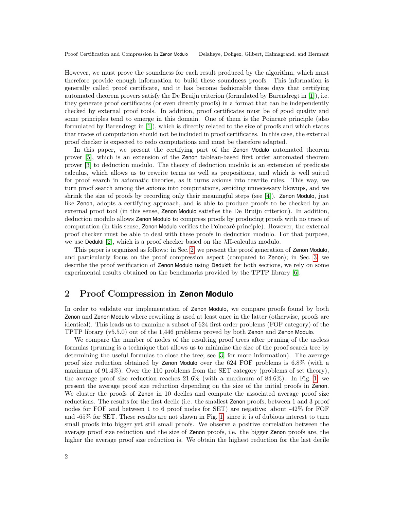However, we must prove the soundness for each result produced by the algorithm, which must therefore provide enough information to build these soundness proofs. This information is generally called proof certificate, and it has become fashionable these days that certifying automated theorem provers satisfy the De Bruijn criterion (formulated by Barendregt in [\[1\]](#page-5-1)), i.e. they generate proof certificates (or even directly proofs) in a format that can be independently checked by external proof tools. In addition, proof certificates must be of good quality and some principles tend to emerge in this domain. One of them is the Poincaré principle (also formulated by Barendregt in [\[1\]](#page-5-1)), which is directly related to the size of proofs and which states that traces of computation should not be included in proof certificates. In this case, the external proof checker is expected to redo computations and must be therefore adapted.

In this paper, we present the certifying part of the Zenon Modulo automated theorem prover [\[5\]](#page-5-2), which is an extension of the Zenon tableau-based first order automated theorem prover [\[3\]](#page-5-3) to deduction modulo. The theory of deduction modulo is an extension of predicate calculus, which allows us to rewrite terms as well as propositions, and which is well suited for proof search in axiomatic theories, as it turns axioms into rewrite rules. This way, we turn proof search among the axioms into computations, avoiding unnecessary blowups, and we shrink the size of proofs by recording only their meaningful steps (see [\[4\]](#page-5-4)). Zenon Modulo, just like Zenon, adopts a certifying approach, and is able to produce proofs to be checked by an external proof tool (in this sense, Zenon Modulo satisfies the De Bruijn criterion). In addition, deduction modulo allows Zenon Modulo to compress proofs by producing proofs with no trace of computation (in this sense, Zenon Modulo verifies the Poincaré principle). However, the external proof checker must be able to deal with these proofs in deduction modulo. For that purpose, we use Dedukti [\[2\]](#page-5-5), which is a proof checker based on the λΠ-calculus modulo.

This paper is organized as follows: in Sec. [2,](#page-2-0) we present the proof generation of Zenon Modulo, and particularly focus on the proof compression aspect (compared to Zenon); in Sec. [3,](#page-3-0) we describe the proof verification of Zenon Modulo using Dedukti; for both sections, we rely on some experimental results obtained on the benchmarks provided by the TPTP library [\[6\]](#page-5-6).

#### <span id="page-2-0"></span>2 Proof Compression in **Zenon Modulo**

In order to validate our implementation of Zenon Modulo, we compare proofs found by both Zenon and Zenon Modulo where rewriting is used at least once in the latter (otherwise, proofs are identical). This leads us to examine a subset of 624 first order problems (FOF category) of the TPTP library (v5.5.0) out of the 1,446 problems proved by both Zenon and Zenon Modulo.

We compare the number of nodes of the resulting proof trees after pruning of the useless formulas (pruning is a technique that allows us to minimize the size of the proof search tree by determining the useful formulas to close the tree; see [\[3\]](#page-5-3) for more information). The average proof size reduction obtained by Zenon Modulo over the 624 FOF problems is 6.8% (with a maximum of 91.4%). Over the 110 problems from the SET category (problems of set theory), the average proof size reduction reaches 21.6% (with a maximum of 84.6%). In Fig. [1,](#page-3-1) we present the average proof size reduction depending on the size of the initial proofs in Zenon. We cluster the proofs of **Zenon** in 10 deciles and compute the associated average proof size reductions. The results for the first decile (i.e. the smallest Zenon proofs, between 1 and 3 proof nodes for FOF and between 1 to 6 proof nodes for SET) are negative: about -42% for FOF and -65% for SET. These results are not shown in Fig. [1,](#page-3-1) since it is of dubious interest to turn small proofs into bigger yet still small proofs. We observe a positive correlation between the average proof size reduction and the size of Zenon proofs, i.e. the bigger Zenon proofs are, the higher the average proof size reduction is. We obtain the highest reduction for the last decile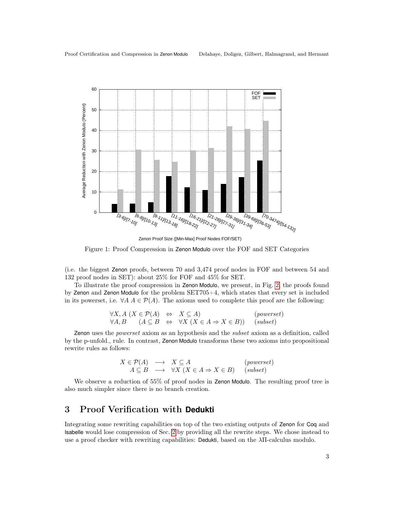

<span id="page-3-1"></span>Figure 1: Proof Compression in Zenon Modulo over the FOF and SET Categories

(i.e. the biggest Zenon proofs, between 70 and 3,474 proof nodes in FOF and between 54 and 132 proof nodes in SET): about 25% for FOF and 45% for SET.

To illustrate the proof compression in Zenon Modulo, we present, in Fig. [2,](#page-4-0) the proofs found by Zenon and Zenon Modulo for the problem SET705+4, which states that every set is included in its powerset, i.e.  $\forall A \ A \in \mathcal{P}(A)$ . The axioms used to complete this proof are the following:

$$
\forall X, A \ (X \in \mathcal{P}(A) \Leftrightarrow X \subseteq A) \quad (powerset)
$$
  

$$
\forall A, B \quad (A \subseteq B \Leftrightarrow \forall X \ (X \in A \Rightarrow X \in B)) \quad (subset)
$$

Zenon uses the powerset axiom as an hypothesis and the subset axiom as a definition, called by the p-unfold<sub>-</sub> rule. In contrast, **Zenon Modulo** transforms these two axioms into propositional rewrite rules as follows:

$$
X \in \mathcal{P}(A) \longrightarrow X \subseteq A \quad (powerset)
$$
  

$$
A \subseteq B \longrightarrow \forall X (X \in A \Rightarrow X \in B) \quad (subset)
$$

We observe a reduction of 55% of proof nodes in Zenon Modulo. The resulting proof tree is also much simpler since there is no branch creation.

### <span id="page-3-0"></span>3 Proof Verification with **Dedukti**

Integrating some rewriting capabilities on top of the two existing outputs of Zenon for Coq and Isabelle would lose compression of Sec. [2](#page-2-0) by providing all the rewrite steps. We chose instead to use a proof checker with rewriting capabilities: Dedukti, based on the  $\lambda \Pi$ -calculus modulo.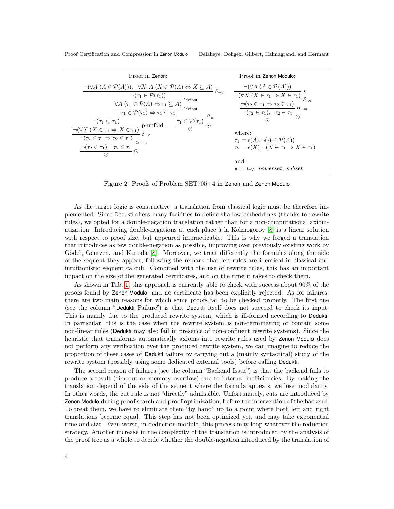Proof Certification and Compression in Zenon Modulo Delahaye, Doligez, Gilbert, Halmagrand, and Hermant

| Proof in Zenon:                                                                                                                                                                                                                                                                                                                                                                                                                                                                                                        | Proof in Zenon Modulo:                                                                                                                                                                                                                                                                                                            |
|------------------------------------------------------------------------------------------------------------------------------------------------------------------------------------------------------------------------------------------------------------------------------------------------------------------------------------------------------------------------------------------------------------------------------------------------------------------------------------------------------------------------|-----------------------------------------------------------------------------------------------------------------------------------------------------------------------------------------------------------------------------------------------------------------------------------------------------------------------------------|
|                                                                                                                                                                                                                                                                                                                                                                                                                                                                                                                        | $\dfrac{\neg(\forall A \ (A \in \mathcal{P}(A)))}{\neg(\forall X \ (X \in \tau_1 \Rightarrow X \in \tau_1)} \star \neg(\tau_2 \in \tau_1 \Rightarrow \tau_2 \in \tau_1)} \n\frac{\neg(\tau_2 \in \tau_1 \Rightarrow \tau_2 \in \tau_1)}{\neg(\tau_2 \in \tau_1), \ \tau_2 \in \tau_1} \n\frac{\neg(\tau_2 \in \tau_1)}{\bigcirc}$ |
|                                                                                                                                                                                                                                                                                                                                                                                                                                                                                                                        |                                                                                                                                                                                                                                                                                                                                   |
|                                                                                                                                                                                                                                                                                                                                                                                                                                                                                                                        |                                                                                                                                                                                                                                                                                                                                   |
| $\begin{array}{c} \neg (\forall A\; (A \in \mathcal{P}(A))), \;\; \forall X, A\; (X \in \mathcal{P}(A) \Leftrightarrow X \subseteq A) \\ \neg (\tau_1 \in \mathcal{P}(\tau_1)) \\ \hline \varphi A\; (\tau_1 \in \mathcal{P}(A) \Leftrightarrow \tau_1 \subseteq A) \\ \hline \tau_1 \in \mathcal{P}(\tau_1) \Leftrightarrow \tau_1 \subseteq \tau_1 \end{array}^{\gamma_{\text{Vinst}}} \\ \begin{array}{c} \gamma_{\text{Vinst}} \\ \hline \tau_1 \in \mathcal{P}(\tau_1) \Leftrightarrow \tau_1 \subseteq \tau_1 \$ |                                                                                                                                                                                                                                                                                                                                   |
|                                                                                                                                                                                                                                                                                                                                                                                                                                                                                                                        |                                                                                                                                                                                                                                                                                                                                   |
|                                                                                                                                                                                                                                                                                                                                                                                                                                                                                                                        | where:                                                                                                                                                                                                                                                                                                                            |
|                                                                                                                                                                                                                                                                                                                                                                                                                                                                                                                        | $\tau_1 = \epsilon(A) \cdot \neg (A \in \mathcal{P}(A))$                                                                                                                                                                                                                                                                          |
|                                                                                                                                                                                                                                                                                                                                                                                                                                                                                                                        | $\tau_2 = \epsilon(X) \cdot \neg (X \in \tau_1 \Rightarrow X \in \tau_1)$                                                                                                                                                                                                                                                         |
|                                                                                                                                                                                                                                                                                                                                                                                                                                                                                                                        |                                                                                                                                                                                                                                                                                                                                   |
|                                                                                                                                                                                                                                                                                                                                                                                                                                                                                                                        | and:<br>$\star = \delta_{\neg \forall}$ , powerset, subset                                                                                                                                                                                                                                                                        |
|                                                                                                                                                                                                                                                                                                                                                                                                                                                                                                                        |                                                                                                                                                                                                                                                                                                                                   |

<span id="page-4-0"></span>Figure 2: Proofs of Problem SET705+4 in Zenon and Zenon Modulo

As the target logic is constructive, a translation from classical logic must be therefore implemented. Since Dedukti offers many facilities to define shallow embeddings (thanks to rewrite rules), we opted for a double-negation translation rather than for a non-computational axiomatization. Introducing double-negations at each place à la Kolmogorov [\[8\]](#page-5-7) is a linear solution with respect to proof size, but appeared impracticable. This is why we forged a translation that introduces as few double-negation as possible, improving over previously existing work by Gödel, Gentzen, and Kuroda [\[8\]](#page-5-7). Moreover, we treat differently the formulas along the side of the sequent they appear, following the remark that left-rules are identical in classical and intuitionistic sequent calculi. Combined with the use of rewrite rules, this has an important impact on the size of the generated certificates, and on the time it takes to check them.

As shown in Tab. [1,](#page-5-8) this approach is currently able to check with success about 90% of the proofs found by Zenon Modulo, and no certificate has been explicitly rejected. As for failures, there are two main reasons for which some proofs fail to be checked properly. The first one (see the column "Dedukti Failure") is that Dedukti itself does not succeed to check its input. This is mainly due to the produced rewrite system, which is ill-formed according to Dedukti. In particular, this is the case when the rewrite system is non-terminating or contain some non-linear rules (Dedukti may also fail in presence of non-confluent rewrite systems). Since the heuristic that transforms automatically axioms into rewrite rules used by Zenon Modulo does not perform any verification over the produced rewrite system, we can imagine to reduce the proportion of these cases of Dedukti failure by carrying out a (mainly syntactical) study of the rewrite system (possibly using some dedicated external tools) before calling Dedukti.

The second reason of failures (see the column "Backend Issue") is that the backend fails to produce a result (timeout or memory overflow) due to internal inefficiencies. By making the translation depend of the side of the sequent where the formula appears, we lose modularity. In other words, the cut rule is not "directly" admissible. Unfortunately, cuts are introduced by Zenon Modulo during proof search and proof optimization, before the intervention of the backend. To treat them, we have to eliminate them "by hand" up to a point where both left and right translations become equal. This step has not been optimized yet, and may take exponential time and size. Even worse, in deduction modulo, this process may loop whatever the reduction strategy. Another increase in the complexity of the translation is introduced by the analysis of the proof tree as a whole to decide whether the double-negation introduced by the translation of